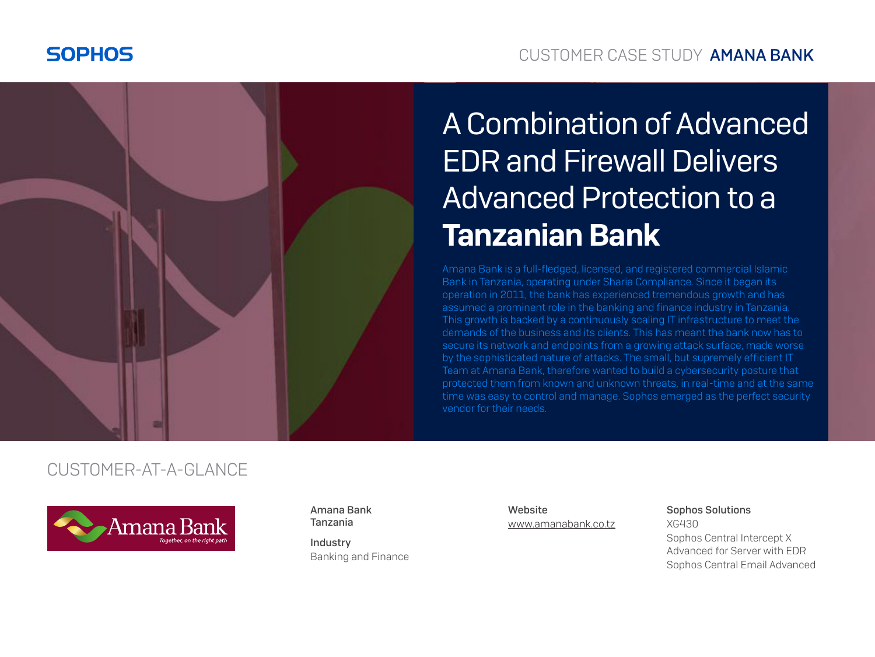



# A Combination of Advanced EDR and Firewall Delivers Advanced Protection to a Tanzanian Bank

Amana Bank is a full-fledged, licensed, and registered commercial Islamic Bank in Tanzania, operating under Sharia Compliance. Since it began its operation in 2011, the bank has experienced tremendous growth and has assumed a prominent role in the banking and finance industry in Tanzania. This growth is backed by a continuously scaling IT infrastructure to meet the demands of the business and its clients. This has meant the bank now has to secure its network and endpoints from a growing attack surface, made worse by the sophisticated nature of attacks. The small, but supremely efficient IT Team at Amana Bank, therefore wanted to build a cybersecurity posture that protected them from known and unknown threats, in real-time and at the same time was easy to control and manage. Sophos emerged as the perfect security vendor for their needs.

#### CUSTOMER-AT-A-GLANCE



Amana Bank Tanzania

Industry Banking and Finance **Website** [www.amanabank.co.tz](https://www.amanabank.co.tz/) Sophos Solutions XG430 Sophos Central Intercept X Advanced for Server with EDR Sophos Central Email Advanced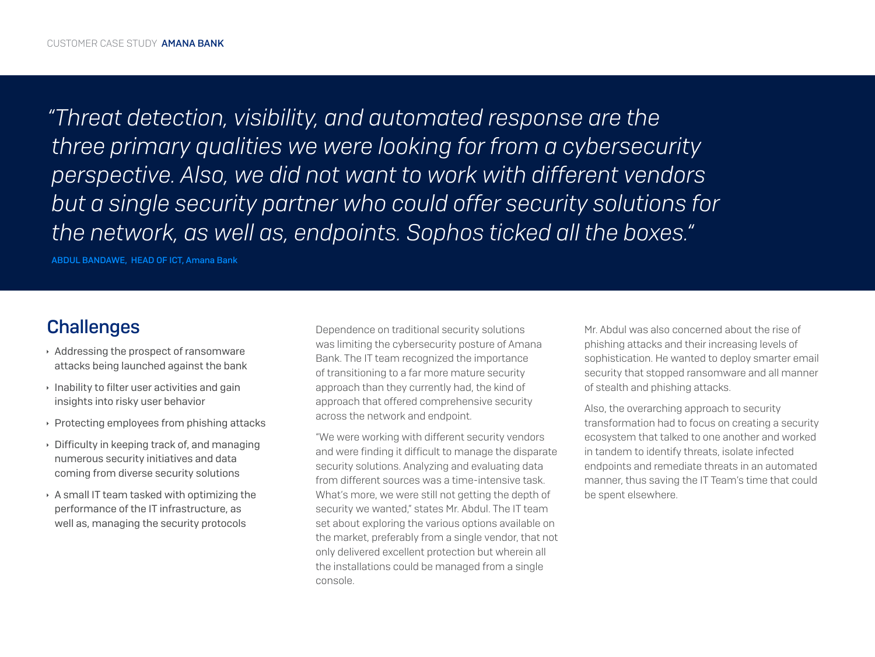*"Threat detection, visibility, and automated response are the three primary qualities we were looking for from a cybersecurity perspective. Also, we did not want to work with different vendors but a single security partner who could offer security solutions for the network, as well as, endpoints. Sophos ticked all the boxes."*

ABDUL BANDAWE, HEAD OF ICT, Amana Bank

### **Challenges**

- $\rightarrow$  Addressing the prospect of ransomware attacks being launched against the bank
- $\cdot$  Inability to filter user activities and gain insights into risky user behavior
- $\rightarrow$  Protecting employees from phishing attacks
- $\rightarrow$  Difficulty in keeping track of, and managing numerous security initiatives and data coming from diverse security solutions
- $\rightarrow$  A small IT team tasked with optimizing the performance of the IT infrastructure, as well as, managing the security protocols

Dependence on traditional security solutions was limiting the cybersecurity posture of Amana Bank. The IT team recognized the importance of transitioning to a far more mature security approach than they currently had, the kind of approach that offered comprehensive security across the network and endpoint.

"We were working with different security vendors and were finding it difficult to manage the disparate security solutions. Analyzing and evaluating data from different sources was a time-intensive task. What's more, we were still not getting the depth of security we wanted," states Mr. Abdul. The IT team set about exploring the various options available on the market, preferably from a single vendor, that not only delivered excellent protection but wherein all the installations could be managed from a single console.

Mr. Abdul was also concerned about the rise of phishing attacks and their increasing levels of sophistication. He wanted to deploy smarter email security that stopped ransomware and all manner of stealth and phishing attacks.

Also, the overarching approach to security transformation had to focus on creating a security ecosystem that talked to one another and worked in tandem to identify threats, isolate infected endpoints and remediate threats in an automated manner, thus saving the IT Team's time that could be spent elsewhere.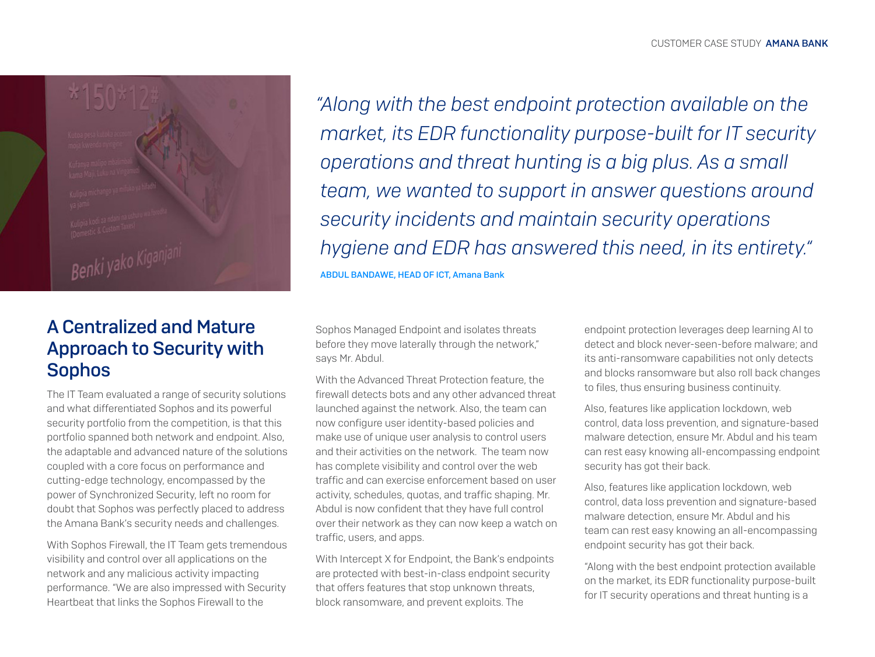Benki yako Kiganj

### A Centralized and Mature Approach to Security with **Sophos**

The IT Team evaluated a range of security solutions and what differentiated Sophos and its powerful security portfolio from the competition, is that this portfolio spanned both network and endpoint. Also, the adaptable and advanced nature of the solutions coupled with a core focus on performance and cutting-edge technology, encompassed by the power of Synchronized Security, left no room for doubt that Sophos was perfectly placed to address the Amana Bank's security needs and challenges.

With Sophos Firewall, the IT Team gets tremendous visibility and control over all applications on the network and any malicious activity impacting performance. "We are also impressed with Security Heartbeat that links the Sophos Firewall to the

*"Along with the best endpoint protection available on the market, its EDR functionality purpose-built for IT security operations and threat hunting is a big plus. As a small team, we wanted to support in answer questions around security incidents and maintain security operations hygiene and EDR has answered this need, in its entirety."*

ABDUL BANDAWE, HEAD OF ICT, Amana Bank

Sophos Managed Endpoint and isolates threats before they move laterally through the network," says Mr. Abdul.

With the Advanced Threat Protection feature, the firewall detects bots and any other advanced threat launched against the network. Also, the team can now configure user identity-based policies and make use of unique user analysis to control users and their activities on the network. The team now has complete visibility and control over the web traffic and can exercise enforcement based on user activity, schedules, quotas, and traffic shaping. Mr. Abdul is now confident that they have full control over their network as they can now keep a watch on traffic, users, and apps.

With Intercept X for Endpoint, the Bank's endpoints are protected with best-in-class endpoint security that offers features that stop unknown threats, block ransomware, and prevent exploits. The

endpoint protection leverages deep learning AI to detect and block never-seen-before malware; and its anti-ransomware capabilities not only detects and blocks ransomware but also roll back changes to files, thus ensuring business continuity.

Also, features like application lockdown, web control, data loss prevention, and signature-based malware detection, ensure Mr. Abdul and his team can rest easy knowing all-encompassing endpoint security has got their back.

Also, features like application lockdown, web control, data loss prevention and signature-based malware detection, ensure Mr. Abdul and his team can rest easy knowing an all-encompassing endpoint security has got their back.

"Along with the best endpoint protection available on the market, its EDR functionality purpose-built for IT security operations and threat hunting is a